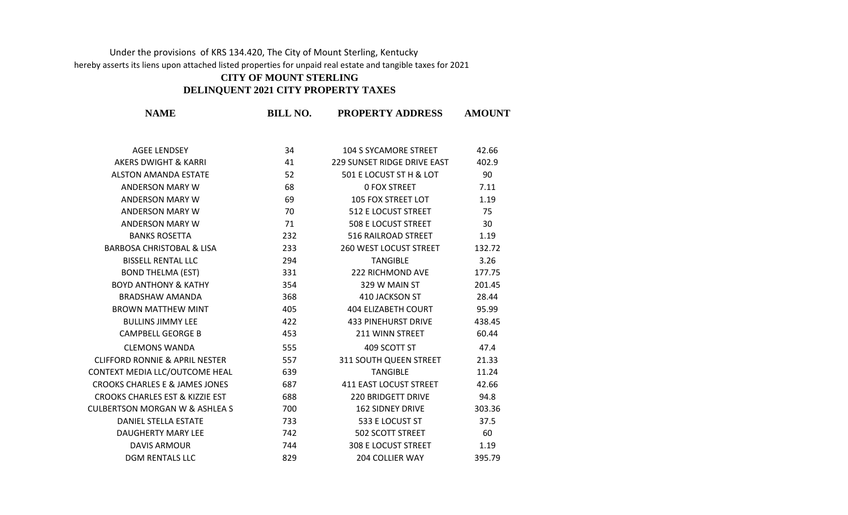## Under the provisions of KRS 134.420, The City of Mount Sterling, Kentucky hereby asserts its liens upon attached listed properties for unpaid real estate and tangible taxes for 2021

## **CITY OF MOUNT STERLING**

## **DELINQUENT 2021 CITY PROPERTY TAXES**

| <b>NAME</b>                                | <b>BILL NO.</b> | <b>PROPERTY ADDRESS</b>       | <b>AMOUNT</b> |
|--------------------------------------------|-----------------|-------------------------------|---------------|
| <b>AGEE LENDSEY</b>                        | 34              | <b>104 S SYCAMORE STREET</b>  | 42.66         |
| AKERS DWIGHT & KARRI                       | 41              | 229 SUNSET RIDGE DRIVE EAST   | 402.9         |
| <b>ALSTON AMANDA ESTATE</b>                | 52              | 501 E LOCUST ST H & LOT       | 90            |
| ANDERSON MARY W                            | 68              | <b>0 FOX STREET</b>           | 7.11          |
| ANDERSON MARY W                            | 69              | 105 FOX STREET LOT            | 1.19          |
| ANDERSON MARY W                            | 70              | 512 E LOCUST STREET           | 75            |
| ANDERSON MARY W                            | 71              | 508 E LOCUST STREET           | 30            |
| <b>BANKS ROSETTA</b>                       | 232             | 516 RAILROAD STREET           | 1.19          |
| <b>BARBOSA CHRISTOBAL &amp; LISA</b>       | 233             | <b>260 WEST LOCUST STREET</b> | 132.72        |
| <b>BISSELL RENTAL LLC</b>                  | 294             | <b>TANGIBLE</b>               | 3.26          |
| <b>BOND THELMA (EST)</b>                   | 331             | 222 RICHMOND AVE              | 177.75        |
| <b>BOYD ANTHONY &amp; KATHY</b>            | 354             | 329 W MAIN ST                 | 201.45        |
| <b>BRADSHAW AMANDA</b>                     | 368             | 410 JACKSON ST                | 28.44         |
| <b>BROWN MATTHEW MINT</b>                  | 405             | 404 ELIZABETH COURT           | 95.99         |
| <b>BULLINS JIMMY LEE</b>                   | 422             | <b>433 PINEHURST DRIVE</b>    | 438.45        |
| <b>CAMPBELL GEORGE B</b>                   | 453             | 211 WINN STREET               | 60.44         |
| <b>CLEMONS WANDA</b>                       | 555             | 409 SCOTT ST                  | 47.4          |
| <b>CLIFFORD RONNIE &amp; APRIL NESTER</b>  | 557             | 311 SOUTH QUEEN STREET        | 21.33         |
| CONTEXT MEDIA LLC/OUTCOME HEAL             | 639             | <b>TANGIBLE</b>               | 11.24         |
| CROOKS CHARLES E & JAMES JONES             | 687             | <b>411 EAST LOCUST STREET</b> | 42.66         |
| <b>CROOKS CHARLES EST &amp; KIZZIE EST</b> | 688             | 220 BRIDGETT DRIVE            | 94.8          |
| CULBERTSON MORGAN W & ASHLEA S             | 700             | 162 SIDNEY DRIVE              | 303.36        |
| DANIEL STELLA ESTATE                       | 733             | 533 E LOCUST ST               | 37.5          |
| DAUGHERTY MARY LEE                         | 742             | 502 SCOTT STREET              | 60            |
| <b>DAVIS ARMOUR</b>                        | 744             | <b>308 E LOCUST STREET</b>    | 1.19          |
| <b>DGM RENTALS LLC</b>                     | 829             | <b>204 COLLIER WAY</b>        | 395.79        |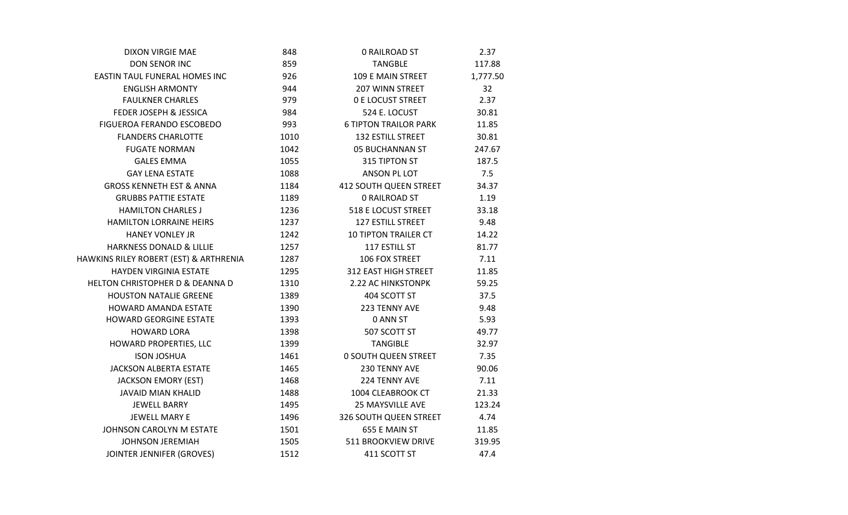| <b>DIXON VIRGIE MAE</b>                | 848  | <b>0 RAILROAD ST</b>          | 2.37     |
|----------------------------------------|------|-------------------------------|----------|
| <b>DON SENOR INC</b>                   | 859  | <b>TANGBLE</b>                | 117.88   |
| EASTIN TAUL FUNERAL HOMES INC          | 926  | 109 E MAIN STREET             | 1,777.50 |
| <b>ENGLISH ARMONTY</b>                 | 944  | 207 WINN STREET               | 32       |
| <b>FAULKNER CHARLES</b>                | 979  | <b>0 E LOCUST STREET</b>      | 2.37     |
| FEDER JOSEPH & JESSICA                 | 984  | 524 E. LOCUST                 | 30.81    |
| FIGUEROA FERANDO ESCOBEDO              | 993  | <b>6 TIPTON TRAILOR PARK</b>  | 11.85    |
| <b>FLANDERS CHARLOTTE</b>              | 1010 | <b>132 ESTILL STREET</b>      | 30.81    |
| <b>FUGATE NORMAN</b>                   | 1042 | 05 BUCHANNAN ST               | 247.67   |
| <b>GALES EMMA</b>                      | 1055 | 315 TIPTON ST                 | 187.5    |
| <b>GAY LENA ESTATE</b>                 | 1088 | ANSON PL LOT                  | 7.5      |
| <b>GROSS KENNETH EST &amp; ANNA</b>    | 1184 | <b>412 SOUTH QUEEN STREET</b> | 34.37    |
| <b>GRUBBS PATTIE ESTATE</b>            | 1189 | <b>0 RAILROAD ST</b>          | 1.19     |
| <b>HAMILTON CHARLES J</b>              | 1236 | <b>518 E LOCUST STREET</b>    | 33.18    |
| HAMILTON LORRAINE HEIRS                | 1237 | 127 ESTILL STREET             | 9.48     |
| <b>HANEY VONLEY JR</b>                 | 1242 | <b>10 TIPTON TRAILER CT</b>   | 14.22    |
| HARKNESS DONALD & LILLIE               | 1257 | 117 ESTILL ST                 | 81.77    |
| HAWKINS RILEY ROBERT (EST) & ARTHRENIA | 1287 | 106 FOX STREET                | 7.11     |
| HAYDEN VIRGINIA ESTATE                 | 1295 | 312 EAST HIGH STREET          | 11.85    |
| HELTON CHRISTOPHER D & DEANNA D        | 1310 | 2.22 AC HINKSTONPK            | 59.25    |
| <b>HOUSTON NATALIE GREENE</b>          | 1389 | 404 SCOTT ST                  | 37.5     |
| HOWARD AMANDA ESTATE                   | 1390 | 223 TENNY AVE                 | 9.48     |
| HOWARD GEORGINE ESTATE                 | 1393 | 0 ANN ST                      | 5.93     |
| <b>HOWARD LORA</b>                     | 1398 | 507 SCOTT ST                  | 49.77    |
| HOWARD PROPERTIES, LLC                 | 1399 | TANGIBLE                      | 32.97    |
| <b>ISON JOSHUA</b>                     | 1461 | <b>0 SOUTH QUEEN STREET</b>   | 7.35     |
| <b>JACKSON ALBERTA ESTATE</b>          | 1465 | 230 TENNY AVE                 | 90.06    |
| <b>JACKSON EMORY (EST)</b>             | 1468 | 224 TENNY AVE                 | 7.11     |
| <b>JAVAID MIAN KHALID</b>              | 1488 | 1004 CLEABROOK CT             | 21.33    |
| <b>JEWELL BARRY</b>                    | 1495 | <b>25 MAYSVILLE AVE</b>       | 123.24   |
| JEWELL MARY E                          | 1496 | 326 SOUTH QUEEN STREET        | 4.74     |
| JOHNSON CAROLYN M ESTATE               | 1501 | 655 E MAIN ST                 | 11.85    |
| <b>JOHNSON JEREMIAH</b>                | 1505 | 511 BROOKVIEW DRIVE           | 319.95   |
| JOINTER JENNIFER (GROVES)              | 1512 | 411 SCOTT ST                  | 47.4     |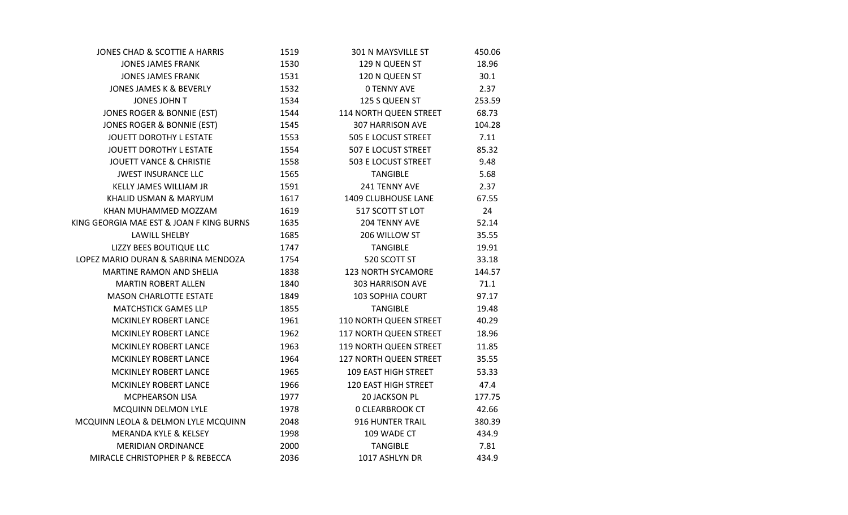| JONES CHAD & SCOTTIE A HARRIS            | 1519 | 301 N MAYSVILLE ST      | 450.06 |
|------------------------------------------|------|-------------------------|--------|
| <b>JONES JAMES FRANK</b>                 | 1530 | 129 N QUEEN ST          | 18.96  |
| <b>JONES JAMES FRANK</b>                 | 1531 | 120 N QUEEN ST          | 30.1   |
| <b>JONES JAMES K &amp; BEVERLY</b>       | 1532 | <b>0 TENNY AVE</b>      | 2.37   |
| JONES JOHN T                             | 1534 | 125 S QUEEN ST          | 253.59 |
| JONES ROGER & BONNIE (EST)               | 1544 | 114 NORTH QUEEN STREET  | 68.73  |
| JONES ROGER & BONNIE (EST)               | 1545 | <b>307 HARRISON AVE</b> | 104.28 |
| JOUETT DOROTHY L ESTATE                  | 1553 | 505 E LOCUST STREET     | 7.11   |
| JOUETT DOROTHY L ESTATE                  | 1554 | 507 E LOCUST STREET     | 85.32  |
| <b>JOUETT VANCE &amp; CHRISTIE</b>       | 1558 | 503 E LOCUST STREET     | 9.48   |
| <b>JWEST INSURANCE LLC</b>               | 1565 | <b>TANGIBLE</b>         | 5.68   |
| KELLY JAMES WILLIAM JR                   | 1591 | 241 TENNY AVE           | 2.37   |
| KHALID USMAN & MARYUM                    | 1617 | 1409 CLUBHOUSE LANE     | 67.55  |
| KHAN MUHAMMED MOZZAM                     | 1619 | 517 SCOTT ST LOT        | 24     |
| KING GEORGIA MAE EST & JOAN F KING BURNS | 1635 | 204 TENNY AVE           | 52.14  |
| LAWILL SHELBY                            | 1685 | 206 WILLOW ST           | 35.55  |
| LIZZY BEES BOUTIQUE LLC                  | 1747 | <b>TANGIBLE</b>         | 19.91  |
| LOPEZ MARIO DURAN & SABRINA MENDOZA      | 1754 | 520 SCOTT ST            | 33.18  |
| MARTINE RAMON AND SHELIA                 | 1838 | 123 NORTH SYCAMORE      | 144.57 |
| <b>MARTIN ROBERT ALLEN</b>               | 1840 | 303 HARRISON AVE        | 71.1   |
| <b>MASON CHARLOTTE ESTATE</b>            | 1849 | 103 SOPHIA COURT        | 97.17  |
| <b>MATCHSTICK GAMES LLP</b>              | 1855 | <b>TANGIBLE</b>         | 19.48  |
| MCKINLEY ROBERT LANCE                    | 1961 | 110 NORTH QUEEN STREET  | 40.29  |
| MCKINLEY ROBERT LANCE                    | 1962 | 117 NORTH QUEEN STREET  | 18.96  |
| MCKINLEY ROBERT LANCE                    | 1963 | 119 NORTH QUEEN STREET  | 11.85  |
| MCKINLEY ROBERT LANCE                    | 1964 | 127 NORTH QUEEN STREET  | 35.55  |
| MCKINLEY ROBERT LANCE                    | 1965 | 109 EAST HIGH STREET    | 53.33  |
| MCKINLEY ROBERT LANCE                    | 1966 | 120 EAST HIGH STREET    | 47.4   |
| MCPHEARSON LISA                          | 1977 | <b>20 JACKSON PL</b>    | 177.75 |
| MCQUINN DELMON LYLE                      | 1978 | <b>0 CLEARBROOK CT</b>  | 42.66  |
| MCQUINN LEOLA & DELMON LYLE MCQUINN      | 2048 | 916 HUNTER TRAIL        | 380.39 |
| <b>MERANDA KYLE &amp; KELSEY</b>         | 1998 | 109 WADE CT             | 434.9  |
| <b>MERIDIAN ORDINANCE</b>                | 2000 | <b>TANGIBLE</b>         | 7.81   |
| MIRACLE CHRISTOPHER P & REBECCA          | 2036 | 1017 ASHLYN DR          | 434.9  |
|                                          |      |                         |        |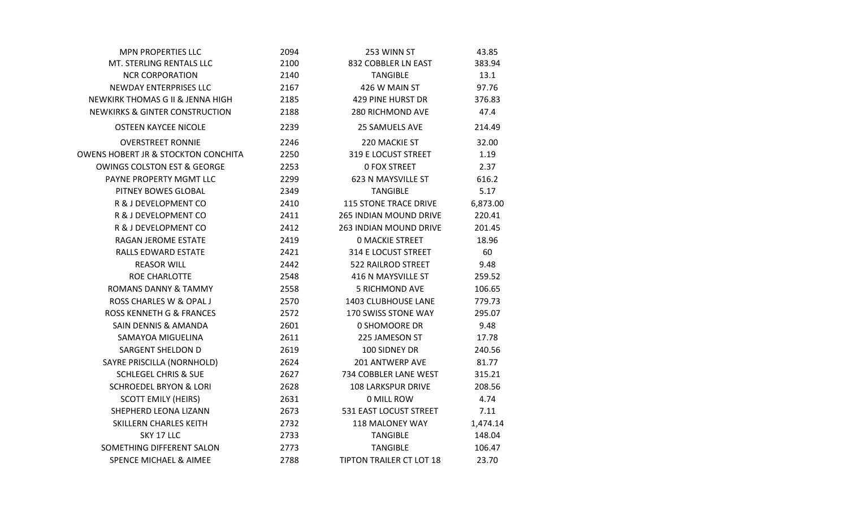| <b>MPN PROPERTIES LLC</b>                      | 2094 | 253 WINN ST                     | 43.85    |
|------------------------------------------------|------|---------------------------------|----------|
| MT. STERLING RENTALS LLC                       | 2100 | 832 COBBLER LN EAST             | 383.94   |
| <b>NCR CORPORATION</b>                         | 2140 | <b>TANGIBLE</b>                 | 13.1     |
| <b>NEWDAY ENTERPRISES LLC</b>                  | 2167 | 426 W MAIN ST                   | 97.76    |
| NEWKIRK THOMAS G II & JENNA HIGH               | 2185 | <b>429 PINE HURST DR</b>        | 376.83   |
| <b>NEWKIRKS &amp; GINTER CONSTRUCTION</b>      | 2188 | 280 RICHMOND AVE                | 47.4     |
| <b>OSTEEN KAYCEE NICOLE</b>                    | 2239 | <b>25 SAMUELS AVE</b>           | 214.49   |
| <b>OVERSTREET RONNIE</b>                       | 2246 | 220 MACKIE ST                   | 32.00    |
| <b>OWENS HOBERT JR &amp; STOCKTON CONCHITA</b> | 2250 | 319 E LOCUST STREET             | 1.19     |
| <b>OWINGS COLSTON EST &amp; GEORGE</b>         | 2253 | <b>0 FOX STREET</b>             | 2.37     |
| PAYNE PROPERTY MGMT LLC                        | 2299 | 623 N MAYSVILLE ST              | 616.2    |
| PITNEY BOWES GLOBAL                            | 2349 | <b>TANGIBLE</b>                 | 5.17     |
| R & J DEVELOPMENT CO                           | 2410 | <b>115 STONE TRACE DRIVE</b>    | 6,873.00 |
| R & J DEVELOPMENT CO                           | 2411 | <b>265 INDIAN MOUND DRIVE</b>   | 220.41   |
| R & J DEVELOPMENT CO                           | 2412 | <b>263 INDIAN MOUND DRIVE</b>   | 201.45   |
| RAGAN JEROME ESTATE                            | 2419 | <b>0 MACKIE STREET</b>          | 18.96    |
| RALLS EDWARD ESTATE                            | 2421 | 314 E LOCUST STREET             | 60       |
| <b>REASOR WILL</b>                             | 2442 | 522 RAILROD STREET              | 9.48     |
| ROE CHARLOTTE                                  | 2548 | 416 N MAYSVILLE ST              | 259.52   |
| <b>ROMANS DANNY &amp; TAMMY</b>                | 2558 | <b>5 RICHMOND AVE</b>           | 106.65   |
| ROSS CHARLES W & OPAL J                        | 2570 | 1403 CLUBHOUSE LANE             | 779.73   |
| <b>ROSS KENNETH G &amp; FRANCES</b>            | 2572 | 170 SWISS STONE WAY             | 295.07   |
| <b>SAIN DENNIS &amp; AMANDA</b>                | 2601 | 0 SHOMOORE DR                   | 9.48     |
| SAMAYOA MIGUELINA                              | 2611 | 225 JAMESON ST                  | 17.78    |
| <b>SARGENT SHELDON D</b>                       | 2619 | 100 SIDNEY DR                   | 240.56   |
| SAYRE PRISCILLA (NORNHOLD)                     | 2624 | 201 ANTWERP AVE                 | 81.77    |
| <b>SCHLEGEL CHRIS &amp; SUE</b>                | 2627 | 734 COBBLER LANE WEST           | 315.21   |
| <b>SCHROEDEL BRYON &amp; LORI</b>              | 2628 | <b>108 LARKSPUR DRIVE</b>       | 208.56   |
| <b>SCOTT EMILY (HEIRS)</b>                     | 2631 | 0 MILL ROW                      | 4.74     |
| SHEPHERD LEONA LIZANN                          | 2673 | 531 EAST LOCUST STREET          | 7.11     |
| SKILLERN CHARLES KEITH                         | 2732 | 118 MALONEY WAY                 | 1,474.14 |
| SKY 17 LLC                                     | 2733 | <b>TANGIBLE</b>                 | 148.04   |
| SOMETHING DIFFERENT SALON                      | 2773 | <b>TANGIBLE</b>                 | 106.47   |
| <b>SPENCE MICHAEL &amp; AIMEE</b>              | 2788 | <b>TIPTON TRAILER CT LOT 18</b> | 23.70    |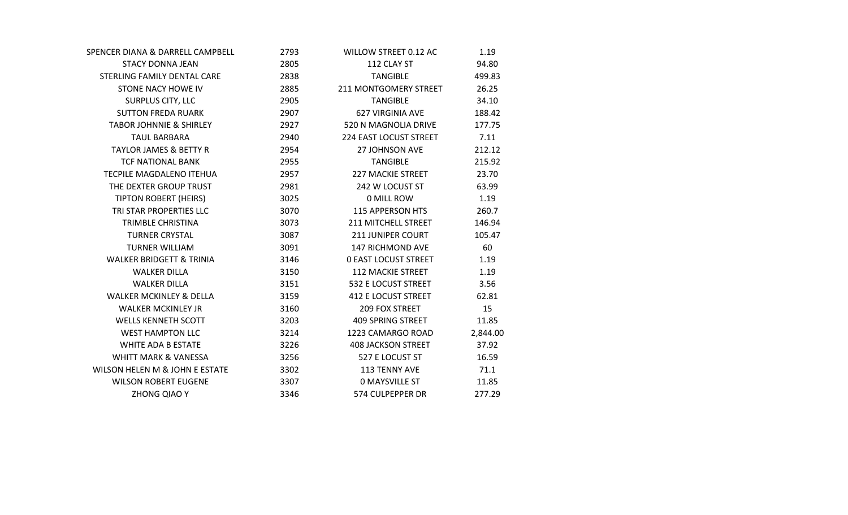| SPENCER DIANA & DARRELL CAMPBELL    | 2793 | WILLOW STREET 0.12 AC        | 1.19     |
|-------------------------------------|------|------------------------------|----------|
| <b>STACY DONNA JEAN</b>             | 2805 | 112 CLAY ST                  | 94.80    |
| STERLING FAMILY DENTAL CARE         | 2838 | <b>TANGIBLE</b>              | 499.83   |
| STONE NACY HOWE IV                  | 2885 | <b>211 MONTGOMERY STREET</b> | 26.25    |
| SURPLUS CITY, LLC                   | 2905 | <b>TANGIBLE</b>              | 34.10    |
| <b>SUTTON FREDA RUARK</b>           | 2907 | <b>627 VIRGINIA AVE</b>      | 188.42   |
| <b>TABOR JOHNNIE &amp; SHIRLEY</b>  | 2927 | 520 N MAGNOLIA DRIVE         | 177.75   |
| <b>TAUL BARBARA</b>                 | 2940 | 224 EAST LOCUST STREET       | 7.11     |
| <b>TAYLOR JAMES &amp; BETTY R</b>   | 2954 | <b>27 JOHNSON AVE</b>        | 212.12   |
| <b>TCF NATIONAL BANK</b>            | 2955 | <b>TANGIBLE</b>              | 215.92   |
| TECPILE MAGDALENO ITEHUA            | 2957 | <b>227 MACKIE STREET</b>     | 23.70    |
| THE DEXTER GROUP TRUST              | 2981 | 242 W LOCUST ST              | 63.99    |
| <b>TIPTON ROBERT (HEIRS)</b>        | 3025 | 0 MILL ROW                   | 1.19     |
| TRI STAR PROPERTIES LLC             | 3070 | <b>115 APPERSON HTS</b>      | 260.7    |
| TRIMBLE CHRISTINA                   | 3073 | 211 MITCHELL STREET          | 146.94   |
| <b>TURNER CRYSTAL</b>               | 3087 | <b>211 JUNIPER COURT</b>     | 105.47   |
| <b>TURNER WILLIAM</b>               | 3091 | 147 RICHMOND AVE             | 60       |
| <b>WALKER BRIDGETT &amp; TRINIA</b> | 3146 | <b>0 EAST LOCUST STREET</b>  | 1.19     |
| <b>WALKER DILLA</b>                 | 3150 | <b>112 MACKIE STREET</b>     | 1.19     |
| <b>WALKER DILLA</b>                 | 3151 | 532 E LOCUST STREET          | 3.56     |
| <b>WALKER MCKINLEY &amp; DELLA</b>  | 3159 | 412 E LOCUST STREET          | 62.81    |
| <b>WALKER MCKINLEY JR</b>           | 3160 | 209 FOX STREET               | 15       |
| <b>WELLS KENNETH SCOTT</b>          | 3203 | <b>409 SPRING STREET</b>     | 11.85    |
| <b>WEST HAMPTON LLC</b>             | 3214 | 1223 CAMARGO ROAD            | 2,844.00 |
| <b>WHITE ADA B ESTATE</b>           | 3226 | <b>408 JACKSON STREET</b>    | 37.92    |
| <b>WHITT MARK &amp; VANESSA</b>     | 3256 | 527 E LOCUST ST              | 16.59    |
| WILSON HELEN M & JOHN E ESTATE      | 3302 | 113 TENNY AVE                | 71.1     |
| <b>WILSON ROBERT EUGENE</b>         | 3307 | <b>0 MAYSVILLE ST</b>        | 11.85    |
| ZHONG QIAO Y                        | 3346 | 574 CULPEPPER DR             | 277.29   |